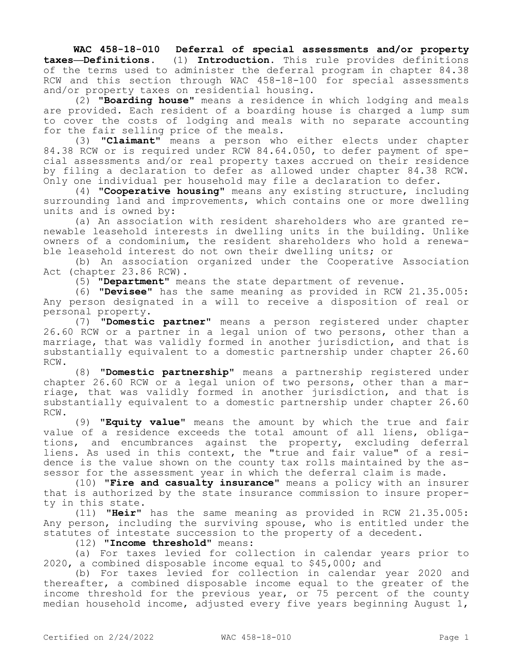**WAC 458-18-010 Deferral of special assessments and/or property taxes—Definitions.** (1) **Introduction.** This rule provides definitions of the terms used to administer the deferral program in chapter 84.38 RCW and this section through WAC 458-18-100 for special assessments and/or property taxes on residential housing.

(2) **"Boarding house"** means a residence in which lodging and meals are provided. Each resident of a boarding house is charged a lump sum to cover the costs of lodging and meals with no separate accounting for the fair selling price of the meals.

(3) **"Claimant"** means a person who either elects under chapter 84.38 RCW or is required under RCW 84.64.050, to defer payment of special assessments and/or real property taxes accrued on their residence by filing a declaration to defer as allowed under chapter 84.38 RCW. Only one individual per household may file a declaration to defer.

(4) **"Cooperative housing"** means any existing structure, including surrounding land and improvements, which contains one or more dwelling units and is owned by:

(a) An association with resident shareholders who are granted renewable leasehold interests in dwelling units in the building. Unlike owners of a condominium, the resident shareholders who hold a renewable leasehold interest do not own their dwelling units; or

(b) An association organized under the Cooperative Association Act (chapter 23.86 RCW).

(5) **"Department"** means the state department of revenue.

(6) **"Devisee"** has the same meaning as provided in RCW 21.35.005: Any person designated in a will to receive a disposition of real or personal property.

(7) **"Domestic partner"** means a person registered under chapter 26.60 RCW or a partner in a legal union of two persons, other than a marriage, that was validly formed in another jurisdiction, and that is substantially equivalent to a domestic partnership under chapter 26.60 RCW.

(8) **"Domestic partnership"** means a partnership registered under chapter 26.60 RCW or a legal union of two persons, other than a marriage, that was validly formed in another jurisdiction, and that is substantially equivalent to a domestic partnership under chapter 26.60 RCW.

(9) **"Equity value"** means the amount by which the true and fair value of a residence exceeds the total amount of all liens, obligations, and encumbrances against the property, excluding deferral liens. As used in this context, the "true and fair value" of a residence is the value shown on the county tax rolls maintained by the assessor for the assessment year in which the deferral claim is made.

(10) **"Fire and casualty insurance"** means a policy with an insurer that is authorized by the state insurance commission to insure property in this state.

(11) **"Heir"** has the same meaning as provided in RCW 21.35.005: Any person, including the surviving spouse, who is entitled under the statutes of intestate succession to the property of a decedent.

(12) **"Income threshold"** means:

(a) For taxes levied for collection in calendar years prior to 2020, a combined disposable income equal to \$45,000; and

(b) For taxes levied for collection in calendar year 2020 and thereafter, a combined disposable income equal to the greater of the income threshold for the previous year, or 75 percent of the county median household income, adjusted every five years beginning August 1,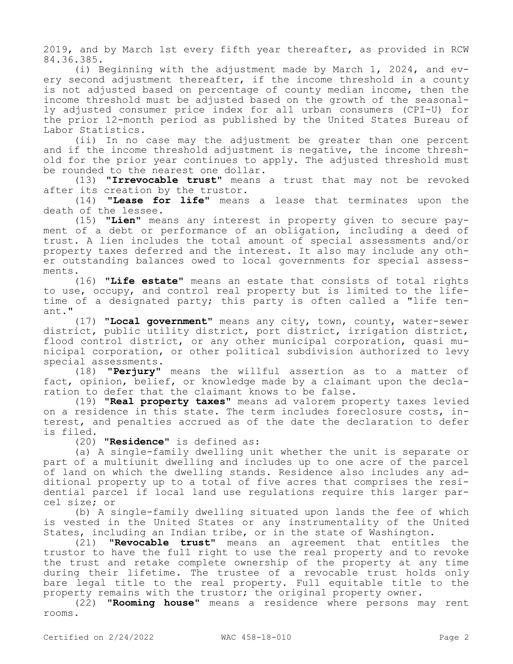2019, and by March 1st every fifth year thereafter, as provided in RCW 84.36.385.

(i) Beginning with the adjustment made by March 1, 2024, and every second adjustment thereafter, if the income threshold in a county is not adjusted based on percentage of county median income, then the income threshold must be adjusted based on the growth of the seasonally adjusted consumer price index for all urban consumers (CPI-U) for the prior 12-month period as published by the United States Bureau of Labor Statistics.

(ii) In no case may the adjustment be greater than one percent and if the income threshold adjustment is negative, the income threshold for the prior year continues to apply. The adjusted threshold must be rounded to the nearest one dollar.

(13) **"Irrevocable trust"** means a trust that may not be revoked after its creation by the trustor.

(14) **"Lease for life"** means a lease that terminates upon the death of the lessee.

(15) **"Lien"** means any interest in property given to secure payment of a debt or performance of an obligation, including a deed of trust. A lien includes the total amount of special assessments and/or property taxes deferred and the interest. It also may include any other outstanding balances owed to local governments for special assessments.

(16) **"Life estate"** means an estate that consists of total rights to use, occupy, and control real property but is limited to the lifetime of a designated party; this party is often called a "life tenant."

(17) **"Local government"** means any city, town, county, water-sewer district, public utility district, port district, irrigation district, flood control district, or any other municipal corporation, quasi municipal corporation, or other political subdivision authorized to levy special assessments.

(18) **"Perjury"** means the willful assertion as to a matter of fact, opinion, belief, or knowledge made by a claimant upon the declaration to defer that the claimant knows to be false.

(19) **"Real property taxes"** means ad valorem property taxes levied on a residence in this state. The term includes foreclosure costs, interest, and penalties accrued as of the date the declaration to defer is filed.

(20) **"Residence"** is defined as:

(a) A single-family dwelling unit whether the unit is separate or part of a multiunit dwelling and includes up to one acre of the parcel of land on which the dwelling stands. Residence also includes any additional property up to a total of five acres that comprises the residential parcel if local land use regulations require this larger parcel size; or

(b) A single-family dwelling situated upon lands the fee of which is vested in the United States or any instrumentality of the United States, including an Indian tribe, or in the state of Washington.

(21) **"Revocable trust"** means an agreement that entitles the trustor to have the full right to use the real property and to revoke the trust and retake complete ownership of the property at any time during their lifetime. The trustee of a revocable trust holds only bare legal title to the real property. Full equitable title to the property remains with the trustor; the original property owner.

(22) **"Rooming house"** means a residence where persons may rent rooms.